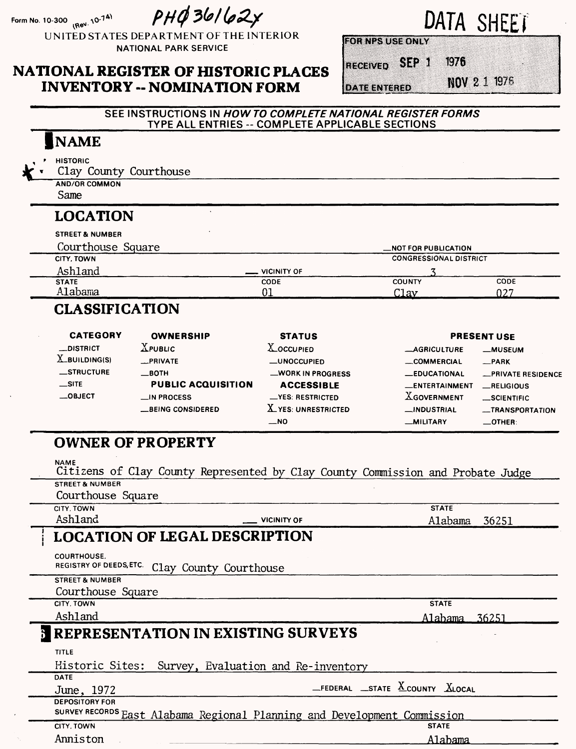Form No. 10-300 **(Rev. 10-74)** 

 $PHQ36162x$ 

UNITED STATES DEPARTMENT OF THE INTERIOR NATIONAL PARK SERVICE

### **NATIONAL REGISTER OF HISTORIC PLACES INVENTORY -- NOMINATION FORM**

DATA SHEET

**ECHNICATE STATE** 

RECEIVED SEP 1

**DATE ENTERED** 

**NOV 2 1 1976** 

**OZG** 

### SEE INSTRUCTIONS IN **HOWTO COMPLETE NATIONAL REGISTER FORMS**  TYPE ALL ENTRIES -- COMPLETE APPLICABLE SECTIONS

## | NAME

- **HISTORIC**
	- Clay County Courthouse
		- AND/OR COMMON

Same

## **LOCATION**

| <b>STREET &amp; NUMBER</b> |             |                               |             |
|----------------------------|-------------|-------------------------------|-------------|
| Courthouse Square          |             | _NOT FOR PUBLICATION          |             |
| CITY, TOWN                 |             | <b>CONGRESSIONAL DISTRICT</b> |             |
| Ashland                    | VICINITY OF |                               |             |
| <b>STATE</b>               | <b>CODE</b> | <b>COUNTY</b>                 | <b>CODE</b> |
| Alabama                    |             | Clav                          | 027         |

## **CLASSIFICATION**

| <b>CATEGORY</b>  | <b>OWNERSHIP</b>          | <b>STATUS</b>      |                       | <b>PRESENT USE</b>  |
|------------------|---------------------------|--------------------|-----------------------|---------------------|
| <b>_DISTRICT</b> | $X$ PUBLIC                | <b>X_OCCUPIED</b>  | <b>_AGRICULTURE</b>   | <b>_MUSEUM</b>      |
| $X$ _BUILDING(S) | _PRIVATE                  | <b>_UNOCCUPIED</b> | COMMERCIAL            | $R$ PARK            |
| <b>STRUCTURE</b> | —вотн                     | -WORK IN PROGRESS  | <b>_EDUCATIONAL</b>   | -PRIVATE RESIDENCE  |
| $\equiv$ SITE    | <b>PUBLIC ACQUISITION</b> | <b>ACCESSIBLE</b>  | <b>LENTERTAINMENT</b> | RELIGIOUS           |
| $\equiv$ OBJECT  | $\Box$ IN PROCESS         | -YES RESTRICTED    | <b>XGOVERNMENT</b>    | $\equiv$ SCIENTIFIC |
|                  | <b>BEING CONSIDERED</b>   | .YES: UNRESTRICTED | _INDUSTRIAL           | -TRANSPORTATION     |
|                  |                           | $-$ NO             | <b>__MILITARY</b>     | $\equiv$ OTHER:     |

# **OWNER OF PROPERTY**

**NAME**

Citizens of Clay County Represented by Clay County Commission and Probate Judge **STREET & NUMBER**

Courthouse Square

| CITY, TOWN |  |
|------------|--|

Ashland **VICINITY OF** 

**STATE** Alabama 36251

# **LOCATION OF LEGAL DESCRIPTION**

**COURTHOUSE.**

REGISTRY OF DEEDS, ETC. Clay County Courthouse

**STREET & NUMBER**

Courthouse Square

**CITY, TOWN**

Ashland

Alabama 36251

**STATE**

# **1 REPRESENTATION IN EXISTING SURVEYS**

| TITLE                 | Historic Sites: Survey, Evaluation and Re-inventory                      |
|-----------------------|--------------------------------------------------------------------------|
| <b>DATE</b>           |                                                                          |
| June, 1972            | $-$ FEDERAL $-$ STATE $X$ COUNTY $X$ LOCAL                               |
| <b>DEPOSITORY FOR</b> |                                                                          |
|                       | SURVEY RECORDS East Alabama Regional Planning and Development Commission |
| CITY, TOWN            | <b>STATE</b>                                                             |
| Anniston              | Alabama                                                                  |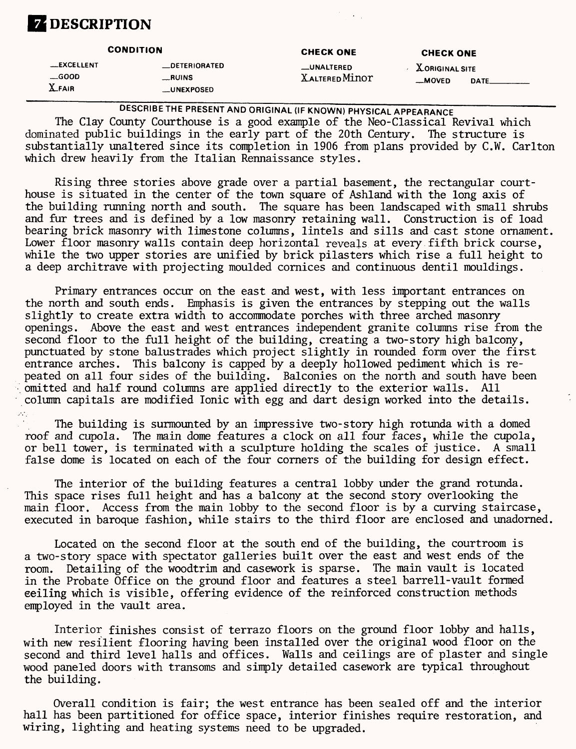# **Z** DESCRIPTION

|                                                 | <b>CONDITION</b>                                             | <b>CHECK ONE</b>                      | <b>CHECK ONE</b>                  |      |
|-------------------------------------------------|--------------------------------------------------------------|---------------------------------------|-----------------------------------|------|
| <b>__EXCELLENT</b><br>$\equiv$ GOOD<br>$X$ FAIR | <b>_DETERIORATED</b><br><b>__RUINS</b><br><b>__UNEXPOSED</b> | <b>__UNALTERED</b><br>X altered Minor | <b>XORIGINAL SITE</b><br>$-MOVED$ | DATE |

DESCRIBE THE PRESENT AND ORIGINAL (IF KNOWN) PHYSICAL APPEARANCE The Clay County Courthouse is a good example of the Neo-Classical Revival which dominated public buildings in the early part of the 20th Century. The structure is substantially unaltered since its completion in 1906 from plans provided by C.W. Carlton

which drew heavily from the Italian Rennaissance styles.

Rising three stories above grade over a partial basement, the rectangular courthouse is situated in the center of the town square of Ashland with the long axis of the building running north and south. The square has been landscaped with small shrubs and fur trees and is defined by a low masonry retaining wall. Construction is of load bearing brick masonry with limestone columns, lintels and sills and cast stone ornament. Lower floor masonry walls contain deep horizontal reveals at every fifth brick course, while the two upper stories are unified by brick pilasters which rise a full height to a deep architrave with projecting moulded cornices and continuous dentil mouldings.

Primary entrances occur on the east and west, with less important entrances on the north and south ends. Emphasis is given the entrances by stepping out the walls slightly to create extra width to accommodate porches with three arched masonry openings. Above the east and west entrances independent granite columns rise from the second floor to the full height of the building, creating a two-story high balcony, punctuated by stone balustrades which project slightly in rounded form over the first entrance arches. This balcony is capped by a deeply hollowed pediment which is repeated on all four sides of the building. Balconies on the north and south have been omitted and half round columns are applied directly to the exterior walls. All column capitals are modified Ionic with egg and dart design worked into the details.

The building is surmounted by an impressive two-story high rotunda with a domed roof and cupola. The main dome features a clock on all four faces, while the cupola, or bell tower, is terminated with a sculpture holding the scales of justice. A small false dome is located on each of the four corners of the building for design effect.

The interior of the building features a central lobby under the grand rotunda. This space rises full height and has a balcony at the second story overlooking the main floor. Access from the main lobby to the second floor is by a curving staircase, executed in baroque fashion, while stairs to the third floor are enclosed and unadorned.

Located on the second floor at the south end of the building, the courtroom is a two-story space with spectator galleries built over the east and west ends of the room. Detailing of the woodtrim and casework is sparse. The main vault is located in the Probate Office on the ground floor and features a steel barrell-vault formed eeiling which is visible, offering evidence of the reinforced construction methods employed in the vault area.

Interior finishes consist of terrazo floors on the ground floor lobby and halls, with new resilient flooring having been installed over the original wood floor on the second and third level halls and offices. Walls and ceilings are of plaster and single wood paneled doors with transoms and simply detailed casework are typical throughout the building.

Overall condition is fair; the west entrance has been sealed off and the interior hall has been partitioned for office space, interior finishes require restoration, and wiring, lighting and heating systems need to be upgraded.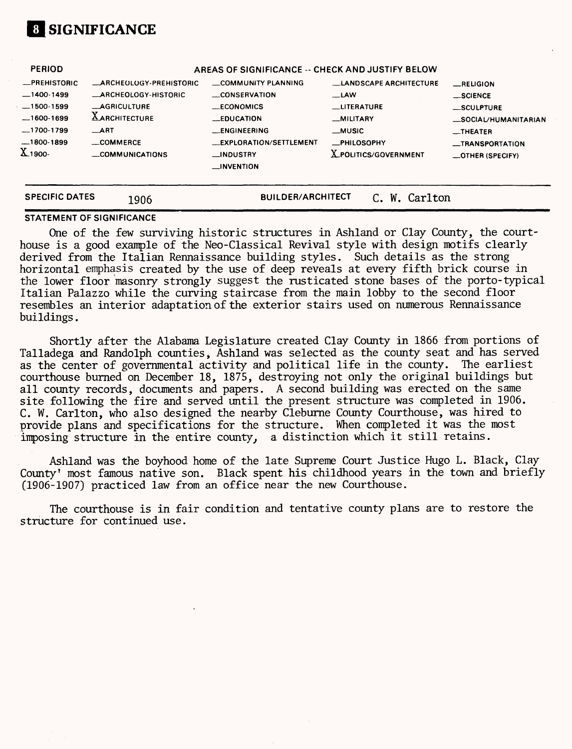

| <b>SPECIFIC DATES</b>                                                   | 1906                                                                                 | <b>BUILDER/ARCHITECT</b>                                                                                                            | Carlton<br>W.                                                                                    |                                                                                                |
|-------------------------------------------------------------------------|--------------------------------------------------------------------------------------|-------------------------------------------------------------------------------------------------------------------------------------|--------------------------------------------------------------------------------------------------|------------------------------------------------------------------------------------------------|
| $-1500-1599$<br>$-1600-1699$<br>$-1700-1799$<br>$-1800-1899$<br>X 1900- | <b>_AGRICULTURE</b><br><b>LARCHITECTURE</b><br>$\_ART$<br>COMMERCE<br>COMMUNICATIONS | <b>ECONOMICS</b><br><b>LEDUCATION</b><br><b>LENGINEERING</b><br><b>__EXPLORATION/SETTLEMENT</b><br>__INDUSTRY<br>$\equiv$ INVENTION | __LITERATURE<br><b>MILITARY</b><br>__MUSIC<br><b>_PHILOSOPHY</b><br><b>X_POLITICS/GOVERNMENT</b> | _SCULPTURE<br>_SOCIAL/HUMANITARIAN<br>__THEATER<br>_TRANSPORTATION<br>$\equiv$ OTHER (SPECIFY) |
| <b>PERIOD</b><br>-PREHISTORIC<br>$-1400-1499$                           | <b>ARCHEOLOGY-PREHISTORIC</b><br><b>ARCHEOLOGY-HISTORIC</b>                          | AREAS OF SIGNIFICANCE -- CHECK AND JUSTIFY BELOW<br>COMMUNITY PLANNING<br>CONSERVATION                                              | <b>LANDSCAPE ARCHITECTURE</b><br>$\equiv$ LAW                                                    | $$ RELIGION<br>__SCIENCE                                                                       |

#### **STATEMENT OF SIGNIFICANCE**

One of the few surviving historic structures in Ashland or Clay County, the courthouse is a good example of the Neo-Classical Revival style with design motifs clearly derived from the Italian Rennaissance building styles. Such details as the strong horizontal emphasis created by the use of deep reveals at every fifth brick course in the lower floor masonry strongly suggest the rusticated stone bases of the porto-typical Italian Palazzo while the curving staircase from the main lobby to the second floor resembles an interior adaptation of the exterior stairs used on numerous Rennaissance buildings.

Shortly after the Alabama Legislature created Clay County in 1866 from portions of Talladega and Randolph counties, Ashland was selected as the county seat and has served as the center of governmental activity and political life in the county. The earliest courthouse burned on December 18, 1875, destroying not only the original buildings but all county records, documents and papers. A second building was erected on the same site following the fire and served until the present structure was completed in 1906. C. W. Carlton, who also designed the nearby Cleburne County Courthouse, was hired to provide plans and specifications for the structure. When completed it was the most imposing structure in the entire county, a distinction which it still retains.

Ashland was the boyhood home of the late Supreme Court Justice Hugo L. Black, Clay County' most famous native son. Black spent his childhood years in the town and briefly (1906-1907) practiced law from an office near the new Courthouse.

The courthouse is in fair condition and tentative county plans are to restore the structure for continued use.